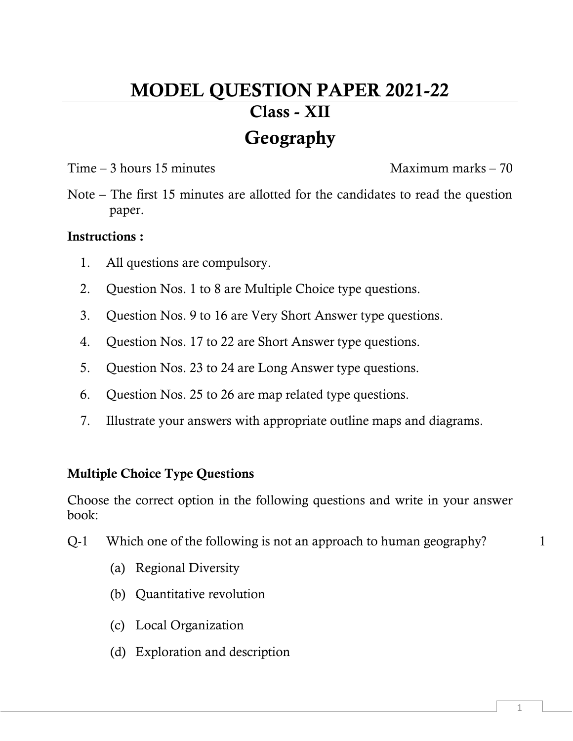# MODEL QUESTION PAPER 2021-22 Class - XII Geography

## Time – 3 hours 15 minutes and the Maximum marks – 70

Note – The first 15 minutes are allotted for the candidates to read the question paper.

## Instructions :

- 1. All questions are compulsory.
- 2. Question Nos. 1 to 8 are Multiple Choice type questions.
- 3. Question Nos. 9 to 16 are Very Short Answer type questions.
- 4. Question Nos. 17 to 22 are Short Answer type questions.
- 5. Question Nos. 23 to 24 are Long Answer type questions.
- 6. Question Nos. 25 to 26 are map related type questions.
- 7. Illustrate your answers with appropriate outline maps and diagrams.

## Multiple Choice Type Questions

Choose the correct option in the following questions and write in your answer book:

- Q-1 Which one of the following is not an approach to human geography?
	- (a) Regional Diversity
	- (b) Quantitative revolution
	- (c) Local Organization
	- (d) Exploration and description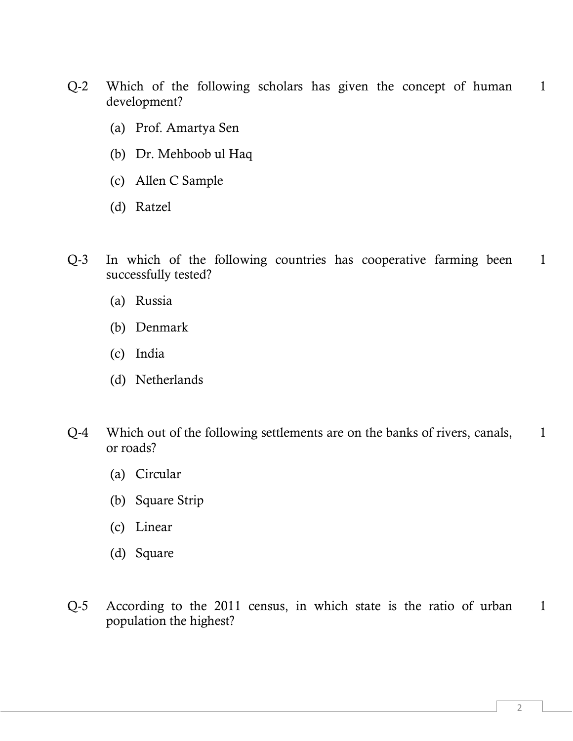- Q-2 Which of the following scholars has given the concept of human development? 1
	- (a) Prof. Amartya Sen
	- (b) Dr. Mehboob ul Haq
	- (c) Allen C Sample
	- (d) Ratzel
- Q-3 In which of the following countries has cooperative farming been successfully tested? 1
	- (a) Russia
	- (b) Denmark
	- (c) India
	- (d) Netherlands
- Q-4 Which out of the following settlements are on the banks of rivers, canals, or roads? 1
	- (a) Circular
	- (b) Square Strip
	- (c) Linear
	- (d) Square
- Q-5 According to the 2011 census, in which state is the ratio of urban population the highest? 1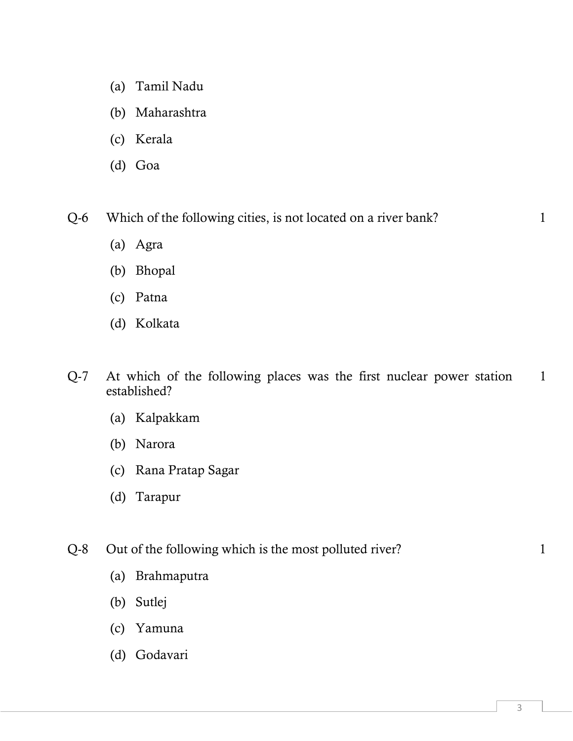- (a) Tamil Nadu
- (b) Maharashtra
- (c) Kerala
- (d) Goa

Q-6 Which of the following cities, is not located on a river bank? 1

- (a) Agra
- (b) Bhopal
- (c) Patna
- (d) Kolkata
- Q-7 At which of the following places was the first nuclear power station established? 1
	- (a) Kalpakkam
	- (b) Narora
	- (c) Rana Pratap Sagar
	- (d) Tarapur
- Q-8 Out of the following which is the most polluted river?
	-
- (a) Brahmaputra
- (b) Sutlej
- (c) Yamuna
- (d) Godavari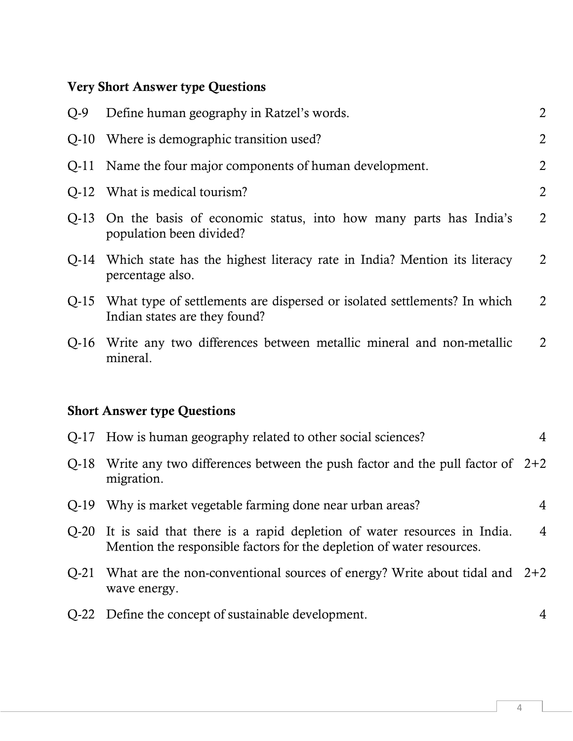## Very Short Answer type Questions

| $Q-9$  | Define human geography in Ratzel's words.                                                                                                        | $\overline{2}$ |
|--------|--------------------------------------------------------------------------------------------------------------------------------------------------|----------------|
| $Q-10$ | Where is demographic transition used?                                                                                                            | $\overline{2}$ |
| $Q-11$ | Name the four major components of human development.                                                                                             | $\overline{2}$ |
| $Q-12$ | What is medical tourism?                                                                                                                         | $\overline{2}$ |
| $Q-13$ | On the basis of economic status, into how many parts has India's<br>population been divided?                                                     | $\overline{2}$ |
| Q-14   | Which state has the highest literacy rate in India? Mention its literacy<br>percentage also.                                                     | $\overline{2}$ |
| $Q-15$ | What type of settlements are dispersed or isolated settlements? In which<br>Indian states are they found?                                        | $\overline{2}$ |
| $Q-16$ | Write any two differences between metallic mineral and non-metallic<br>mineral.                                                                  | 2              |
|        |                                                                                                                                                  |                |
|        | <b>Short Answer type Questions</b>                                                                                                               |                |
| $Q-17$ | How is human geography related to other social sciences?                                                                                         | 4              |
| $Q-18$ | Write any two differences between the push factor and the pull factor of $2+2$<br>migration.                                                     |                |
| $Q-19$ | Why is market vegetable farming done near urban areas?                                                                                           | 4              |
| $Q-20$ | It is said that there is a rapid depletion of water resources in India.<br>Mention the responsible factors for the depletion of water resources. | 4              |
| $Q-21$ | What are the non-conventional sources of energy? Write about tidal and $2+2$<br>wave energy.                                                     |                |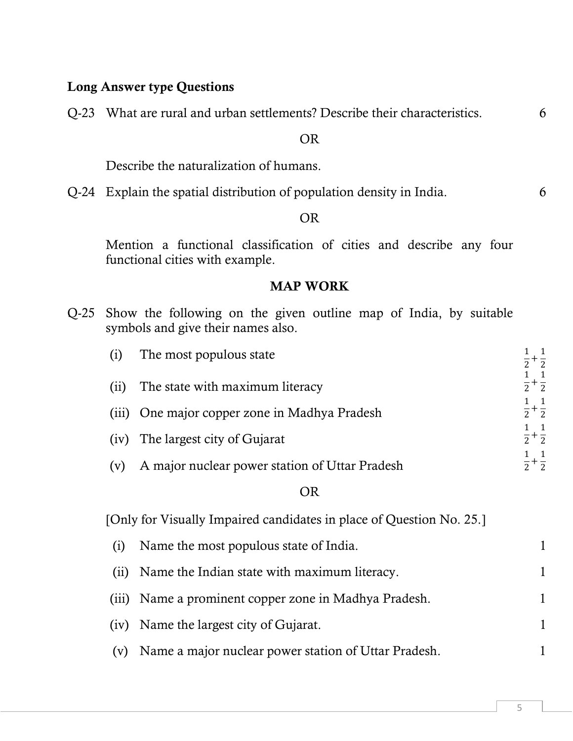## Long Answer type Questions

Q-23 What are rural and urban settlements? Describe their characteristics. 6

#### OR

Describe the naturalization of humans.

Q-24 Explain the spatial distribution of population density in India. 6

## OR

 Mention a functional classification of cities and describe any four functional cities with example.

## MAP WORK

|                                    |  | Q-25 Show the following on the given outline map of India, by suitable |  |  |  |  |  |  |  |
|------------------------------------|--|------------------------------------------------------------------------|--|--|--|--|--|--|--|
| symbols and give their names also. |  |                                                                        |  |  |  |  |  |  |  |

| (i)   | The most populous state                                              |                                                    |  |  |  |  |
|-------|----------------------------------------------------------------------|----------------------------------------------------|--|--|--|--|
| (ii)  | The state with maximum literacy                                      | $+\frac{1}{2}$<br>$+\frac{1}{2}$<br>$\overline{2}$ |  |  |  |  |
| (iii) | One major copper zone in Madhya Pradesh                              | $+\frac{1}{2}$<br>$\overline{2}$                   |  |  |  |  |
| (iv)  | The largest city of Gujarat                                          | $\frac{1}{2} + \frac{1}{2}$                        |  |  |  |  |
| (v)   | A major nuclear power station of Uttar Pradesh                       | $\frac{1}{2}$<br>$+\frac{1}{2}$                    |  |  |  |  |
|       | <b>OR</b>                                                            |                                                    |  |  |  |  |
|       | [Only for Visually Impaired candidates in place of Question No. 25.] |                                                    |  |  |  |  |
| (i)   | Name the most populous state of India.                               | 1                                                  |  |  |  |  |
| (i)   | Name the Indian state with maximum literacy.                         | 1                                                  |  |  |  |  |
| (iii) | Name a prominent copper zone in Madhya Pradesh.                      | 1                                                  |  |  |  |  |
|       | (iv) Name the largest city of Gujarat.                               |                                                    |  |  |  |  |

(v) Name a major nuclear power station of Uttar Pradesh. 1